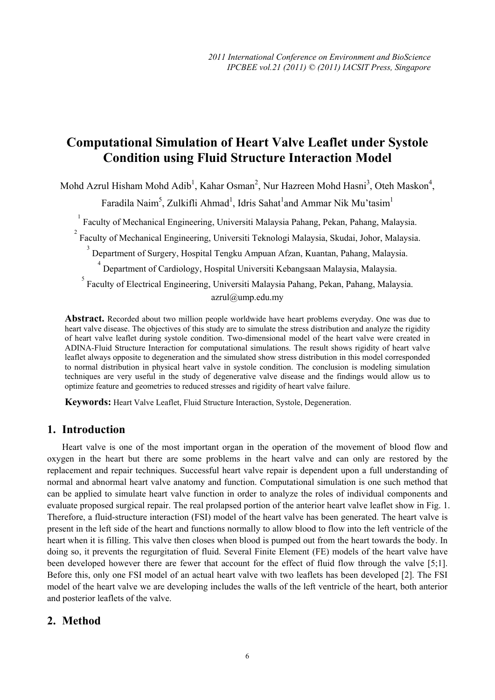# **Computational Simulation of Heart Valve Leaflet under Systole Condition using Fluid Structure Interaction Model**

Mohd Azrul Hisham Mohd Adib<sup>1</sup>, Kahar Osman<sup>2</sup>, Nur Hazreen Mohd Hasni<sup>3</sup>, Oteh Maskon<sup>4</sup>,

Faradila Naim<sup>5</sup>, Zulkifli Ahmad<sup>1</sup>, Idris Sahat<sup>1</sup>and Ammar Nik Mu'tasim<sup>1</sup>

<sup>1</sup> Faculty of Mechanical Engineering, Universiti Malaysia Pahang, Pekan, Pahang, Malaysia.

<sup>2</sup> Faculty of Mechanical Engineering, Universiti Teknologi Malaysia, Skudai, Johor, Malaysia.

<sup>3</sup> Department of Surgery, Hospital Tengku Ampuan Afzan, Kuantan, Pahang, Malaysia.

4 Department of Cardiology, Hospital Universiti Kebangsaan Malaysia, Malaysia.

<sup>5</sup> Faculty of Electrical Engineering, Universiti Malaysia Pahang, Pekan, Pahang, Malaysia. azrul@ump.edu.my

**Abstract.** Recorded about two million people worldwide have heart problems everyday. One was due to heart valve disease. The objectives of this study are to simulate the stress distribution and analyze the rigidity of heart valve leaflet during systole condition. Two-dimensional model of the heart valve were created in ADINA-Fluid Structure Interaction for computational simulations. The result shows rigidity of heart valve leaflet always opposite to degeneration and the simulated show stress distribution in this model corresponded to normal distribution in physical heart valve in systole condition. The conclusion is modeling simulation techniques are very useful in the study of degenerative valve disease and the findings would allow us to optimize feature and geometries to reduced stresses and rigidity of heart valve failure.

**Keywords:** Heart Valve Leaflet, Fluid Structure Interaction, Systole, Degeneration.

## **1. Introduction**

Heart valve is one of the most important organ in the operation of the movement of blood flow and oxygen in the heart but there are some problems in the heart valve and can only are restored by the replacement and repair techniques. Successful heart valve repair is dependent upon a full understanding of normal and abnormal heart valve anatomy and function. Computational simulation is one such method that can be applied to simulate heart valve function in order to analyze the roles of individual components and evaluate proposed surgical repair. The real prolapsed portion of the anterior heart valve leaflet show in Fig. 1. Therefore, a fluid-structure interaction (FSI) model of the heart valve has been generated. The heart valve is present in the left side of the heart and functions normally to allow blood to flow into the left ventricle of the heart when it is filling. This valve then closes when blood is pumped out from the heart towards the body. In doing so, it prevents the regurgitation of fluid. Several Finite Element (FE) models of the heart valve have been developed however there are fewer that account for the effect of fluid flow through the valve [5;1]. Before this, only one FSI model of an actual heart valve with two leaflets has been developed [2]. The FSI model of the heart valve we are developing includes the walls of the left ventricle of the heart, both anterior and posterior leaflets of the valve.

# **2. Method**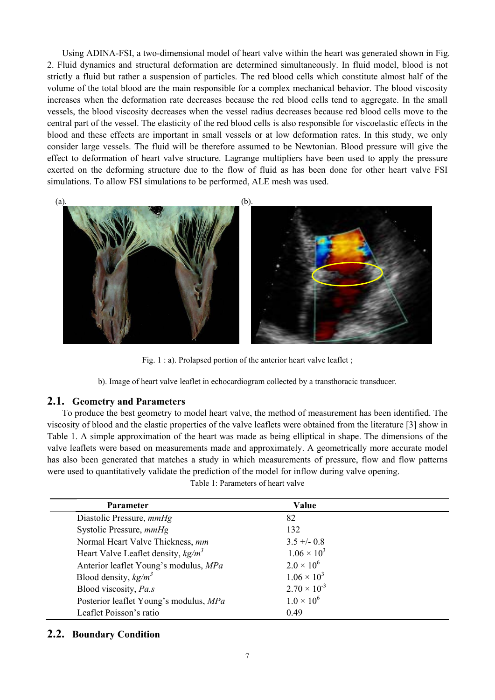Using ADINA-FSI, a two-dimensional model of heart valve within the heart was generated shown in Fig. 2. Fluid dynamics and structural deformation are determined simultaneously. In fluid model, blood is not strictly a fluid but rather a suspension of particles. The red blood cells which constitute almost half of the volume of the total blood are the main responsible for a complex mechanical behavior. The blood viscosity increases when the deformation rate decreases because the red blood cells tend to aggregate. In the small vessels, the blood viscosity decreases when the vessel radius decreases because red blood cells move to the central part of the vessel. The elasticity of the red blood cells is also responsible for viscoelastic effects in the blood and these effects are important in small vessels or at low deformation rates. In this study, we only consider large vessels. The fluid will be therefore assumed to be Newtonian. Blood pressure will give the effect to deformation of heart valve structure. Lagrange multipliers have been used to apply the pressure exerted on the deforming structure due to the flow of fluid as has been done for other heart valve FSI simulations. To allow FSI simulations to be performed, ALE mesh was used.



Fig. 1 : a). Prolapsed portion of the anterior heart valve leaflet ;

b). Image of heart valve leaflet in echocardiogram collected by a transthoracic transducer.

#### **2.1. Geometry and Parameters**

To produce the best geometry to model heart valve, the method of measurement has been identified. The viscosity of blood and the elastic properties of the valve leaflets were obtained from the literature [3] show in Table 1. A simple approximation of the heart was made as being elliptical in shape. The dimensions of the valve leaflets were based on measurements made and approximately. A geometrically more accurate model has also been generated that matches a study in which measurements of pressure, flow and flow patterns were used to quantitatively validate the prediction of the model for inflow during valve opening.

|  | Table 1: Parameters of heart valve |  |  |
|--|------------------------------------|--|--|
|  |                                    |  |  |

| <b>Parameter</b>                       | Value                 |  |
|----------------------------------------|-----------------------|--|
| Diastolic Pressure, mmHg               | 82                    |  |
| Systolic Pressure, mmHg                | 132                   |  |
| Normal Heart Valve Thickness, mm       | $3.5 + -0.8$          |  |
| Heart Valve Leaflet density, $kg/m3$   | $1.06 \times 10^{3}$  |  |
| Anterior leaflet Young's modulus, MPa  | $2.0 \times 10^{6}$   |  |
| Blood density, $kg/m^3$                | $1.06 \times 10^{3}$  |  |
| Blood viscosity, Pa.s.                 | $2.70 \times 10^{-3}$ |  |
| Posterior leaflet Young's modulus, MPa | $1.0 \times 10^{6}$   |  |
| Leaflet Poisson's ratio                | 0.49                  |  |

### **2.2. Boundary Condition**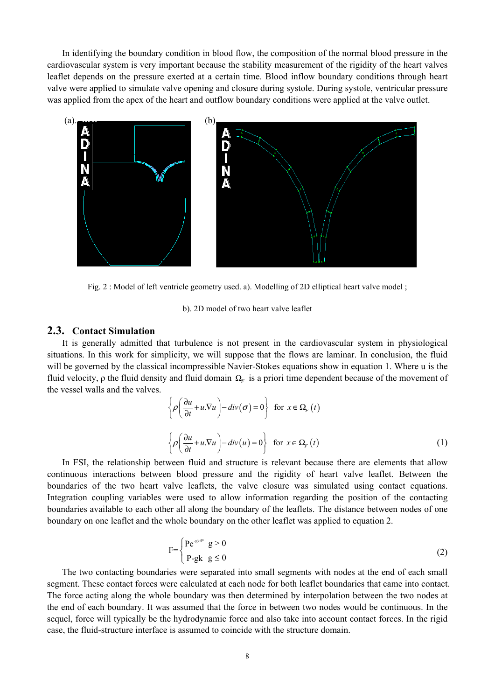In identifying the boundary condition in blood flow, the composition of the normal blood pressure in the cardiovascular system is very important because the stability measurement of the rigidity of the heart valves leaflet depends on the pressure exerted at a certain time. Blood inflow boundary conditions through heart valve were applied to simulate valve opening and closure during systole. During systole, ventricular pressure was applied from the apex of the heart and outflow boundary conditions were applied at the valve outlet.



Fig. 2 : Model of left ventricle geometry used. a). Modelling of 2D elliptical heart valve model ;

#### b). 2D model of two heart valve leaflet

#### **2.3. Contact Simulation**

It is generally admitted that turbulence is not present in the cardiovascular system in physiological situations. In this work for simplicity, we will suppose that the flows are laminar. In conclusion, the fluid will be governed by the classical incompressible Navier-Stokes equations show in equation 1. Where u is the fluid velocity, *ρ* the fluid density and fluid domain  $\Omega$ <sub>*c*</sub> is a priori time dependent because of the movement of the vessel walls and the valves.

$$
\left\{\rho\left(\frac{\partial u}{\partial t} + u.\nabla u\right) - div(\sigma) = 0\right\} \text{ for } x \in \Omega_F(t)
$$
  

$$
\left\{\rho\left(\frac{\partial u}{\partial t} + u.\nabla u\right) - div(u) = 0\right\} \text{ for } x \in \Omega_F(t)
$$
 (1)

In FSI, the relationship between fluid and structure is relevant because there are elements that allow continuous interactions between blood pressure and the rigidity of heart valve leaflet. Between the boundaries of the two heart valve leaflets, the valve closure was simulated using contact equations. Integration coupling variables were used to allow information regarding the position of the contacting boundaries available to each other all along the boundary of the leaflets. The distance between nodes of one boundary on one leaflet and the whole boundary on the other leaflet was applied to equation 2.

$$
F = \begin{cases} P e^{-g k/P} & g > 0 \\ P - g k & g \le 0 \end{cases}
$$
 (2)

The two contacting boundaries were separated into small segments with nodes at the end of each small segment. These contact forces were calculated at each node for both leaflet boundaries that came into contact. The force acting along the whole boundary was then determined by interpolation between the two nodes at the end of each boundary. It was assumed that the force in between two nodes would be continuous. In the sequel, force will typically be the hydrodynamic force and also take into account contact forces. In the rigid case, the fluid-structure interface is assumed to coincide with the structure domain.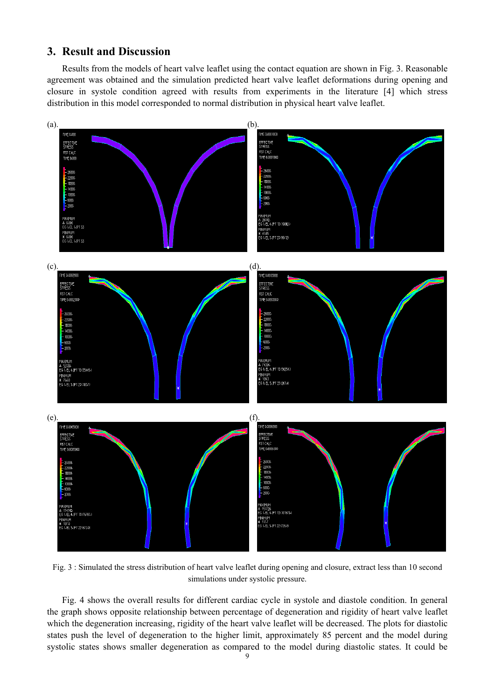# **3. Result and Discussion**

Results from the models of heart valve leaflet using the contact equation are shown in Fig. 3. Reasonable agreement was obtained and the simulation predicted heart valve leaflet deformations during opening and closure in systole condition agreed with results from experiments in the literature [4] which stress distribution in this model corresponded to normal distribution in physical heart valve leaflet.



Fig. 3 : Simulated the stress distribution of heart valve leaflet during opening and closure, extract less than 10 second simulations under systolic pressure.

Fig. 4 shows the overall results for different cardiac cycle in systole and diastole condition. In general the graph shows opposite relationship between percentage of degeneration and rigidity of heart valve leaflet which the degeneration increasing, rigidity of the heart valve leaflet will be decreased. The plots for diastolic states push the level of degeneration to the higher limit, approximately 85 percent and the model during systolic states shows smaller degeneration as compared to the model during diastolic states. It could be